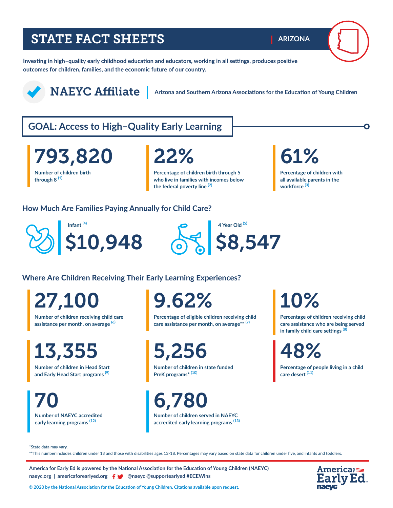# STATE FACT SHEETS

**Investing in high–quality early childhood education and educators, working in all settings, produces positive outcomes for children, families, and the economic future of our country.** 

NAEYC Affiliate **Arizona and Southern Arizona Associations for the Education of Young Children**

# **GOAL: Access to High–Quality Early Learning**

**Number of children birth through 8 (1)** 793,820 22% 61%

**Percentage of children birth through 5 who live in families with incomes below the federal poverty line (2)**

**ARIZONA**

**Percentage of children with all available parents in the workforce (3)**

### **How Much Are Families Paying Annually for Child Care?**





**Where Are Children Receiving Their Early Learning Experiences?**

**Number of children receiving child care assistance per month, on average (6)** 27,100

13,355

**Number of children in Head Start and Early Head Start programs (9)**

**Number of NAEYC accredited early learning programs (12)**  70 6,780

9.62%

**Percentage of eligible children receiving child care assistance per month, on average\*\* (7)**

5,256

**Number of children in state funded PreK programs\* (10)**

**Number of children served in NAEYC** 

**accredited early learning programs (13)** 

# 10%

**Percentage of children receiving child care assistance who are being served in family child care settings (8)**

48%

**Percentage of people living in a child care desert (11)**

\*State data may vary.

\*\*This number includes children under 13 and those with disabilities ages 13-18. Percentages may vary based on state data for children under five, and infants and toddlers.

**America for Early Ed is powered by the National Association for the Education of Young Children (NAEYC) naeyc.org** | americaforearlyed.org | @naeyc @supportearlyed #ECEWins



**© 2020 by the National Association for the Education of Young Children. Citations available upon request.**